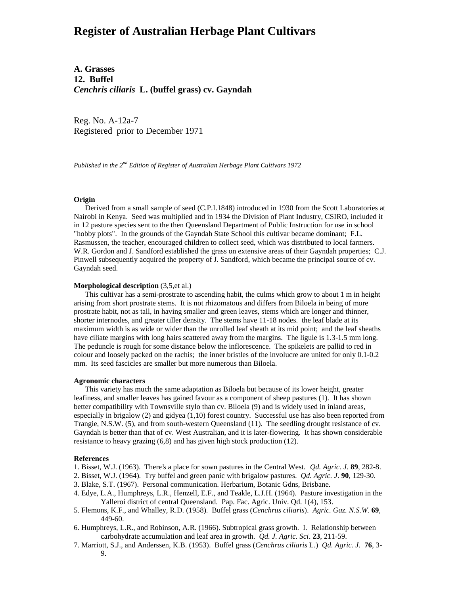# **Register of Australian Herbage Plant Cultivars**

**A. Grasses 12. Buffel** *Cenchris ciliaris* **L. (buffel grass) cv. Gayndah**

Reg. No. A-12a-7 Registered prior to December 1971

*Published in the 2nd Edition of Register of Australian Herbage Plant Cultivars 1972*

### **Origin**

 Derived from a small sample of seed (C.P.I.1848) introduced in 1930 from the Scott Laboratories at Nairobi in Kenya. Seed was multiplied and in 1934 the Division of Plant Industry, CSIRO, included it in 12 pasture species sent to the then Queensland Department of Public Instruction for use in school "hobby plots". In the grounds of the Gayndah State School this cultivar became dominant; F.L. Rasmussen, the teacher, encouraged children to collect seed, which was distributed to local farmers. W.R. Gordon and J. Sandford established the grass on extensive areas of their Gayndah properties; C.J. Pinwell subsequently acquired the property of J. Sandford, which became the principal source of cv. Gayndah seed.

## **Morphological description** (3,5,et al.)

 This cultivar has a semi-prostrate to ascending habit, the culms which grow to about 1 m in height arising from short prostrate stems. It is not rhizomatous and differs from Biloela in being of more prostrate habit, not as tall, in having smaller and green leaves, stems which are longer and thinner, shorter internodes, and greater tiller density. The stems have 11-18 nodes. the leaf blade at its maximum width is as wide or wider than the unrolled leaf sheath at its mid point; and the leaf sheaths have ciliate margins with long hairs scattered away from the margins. The ligule is 1.3-1.5 mm long. The peduncle is rough for some distance below the inflorescence. The spikelets are pallid to red in colour and loosely packed on the rachis; the inner bristles of the involucre are united for only 0.1-0.2 mm. Its seed fascicles are smaller but more numerous than Biloela.

## **Agronomic characters**

 This variety has much the same adaptation as Biloela but because of its lower height, greater leafiness, and smaller leaves has gained favour as a component of sheep pastures (1). It has shown better compatibility with Townsville stylo than cv. Biloela (9) and is widely used in inland areas, especially in brigalow (2) and gidyea (1,10) forest country. Successful use has also been reported from Trangie, N.S.W. (5), and from south-western Queensland (11). The seedling drought resistance of cv. Gayndah is better than that of cv. West Australian, and it is later-flowering. It has shown considerable resistance to heavy grazing (6,8) and has given high stock production (12).

### **References**

- 1. Bisset, W.J. (1963). There's a place for sown pastures in the Central West. *Qd. Agric. J*. **89**, 282-8.
- 2. Bisset, W.J. (1964). Try buffel and green panic with brigalow pastures. *Qd. Agric. J*. **90**, 129-30.
- 3. Blake, S.T. (1967). Personal communication. Herbarium, Botanic Gdns, Brisbane.
- 4. Edye, L.A., Humphreys, L.R., Henzell, E.F., and Teakle, L.J.H. (1964). Pasture investigation in the Yalleroi district of central Queensland. Pap. Fac. Agric. Univ. Qd. 1(4), 153.
- 5. Flemons, K.F., and Whalley, R.D. (1958). Buffel grass (*Cenchrus ciliaris*). *Agric. Gaz. N.S.W.* **69**, 449-60.
- 6. Humphreys, L.R., and Robinson, A.R. (1966). Subtropical grass growth. I. Relationship between carbohydrate accumulation and leaf area in growth. *Qd. J. Agric. Sci*. **23**, 211-59.
- 7. Marriott, S.J., and Anderssen, K.B. (1953). Buffel grass (*Cenchrus ciliaris* L.) *Qd. Agric. J*. **76**, 3- 9.